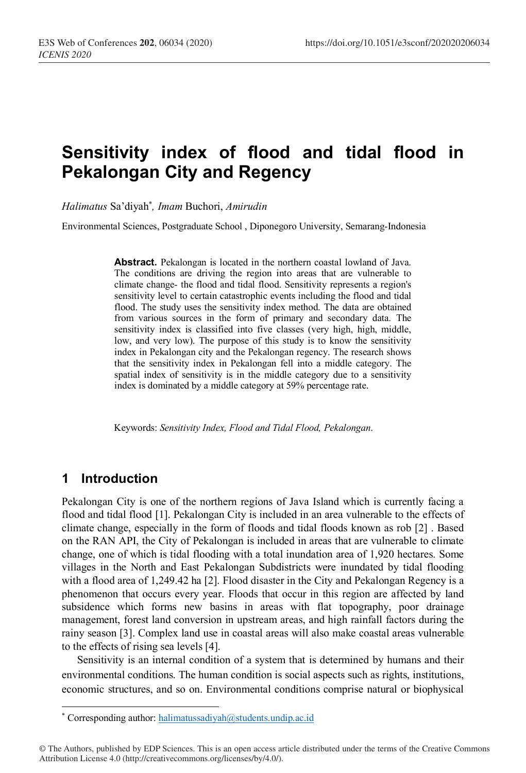# **Sensitivity index of flood and tidal flood in Pekalongan City and Regency**

*Halimatus* Sa'diyah\* *, Imam* Buchori, *Amirudin*

Environmental Sciences, Postgraduate School , Diponegoro University, Semarang-Indonesia

**Abstract.** Pekalongan is located in the northern coastal lowland of Java. The conditions are driving the region into areas that are vulnerable to climate change- the flood and tidal flood. Sensitivity represents a region's sensitivity level to certain catastrophic events including the flood and tidal flood. The study uses the sensitivity index method. The data are obtained from various sources in the form of primary and secondary data. The sensitivity index is classified into five classes (very high, high, middle, low, and very low). The purpose of this study is to know the sensitivity index in Pekalongan city and the Pekalongan regency. The research shows that the sensitivity index in Pekalongan fell into a middle category. The spatial index of sensitivity is in the middle category due to a sensitivity index is dominated by a middle category at 59% percentage rate.

Keywords: *Sensitivity Index, Flood and Tidal Flood, Pekalongan*.

### **1 Introduction**

 $\overline{a}$ 

Pekalongan City is one of the northern regions of Java Island which is currently facing a flood and tidal flood [1]. Pekalongan City is included in an area vulnerable to the effects of climate change, especially in the form of floods and tidal floods known as rob [2] . Based on the RAN API, the City of Pekalongan is included in areas that are vulnerable to climate change, one of which is tidal flooding with a total inundation area of 1,920 hectares. Some villages in the North and East Pekalongan Subdistricts were inundated by tidal flooding with a flood area of 1,249.42 ha [2]. Flood disaster in the City and Pekalongan Regency is a phenomenon that occurs every year. Floods that occur in this region are affected by land subsidence which forms new basins in areas with flat topography, poor drainage management, forest land conversion in upstream areas, and high rainfall factors during the rainy season [3]. Complex land use in coastal areas will also make coastal areas vulnerable to the effects of rising sea levels [4].

Sensitivity is an internal condition of a system that is determined by humans and their environmental conditions. The human condition is social aspects such as rights, institutions, economic structures, and so on. Environmental conditions comprise natural or biophysical

<sup>\*</sup> Corresponding author: halimatussadiyah@students.undip.ac.id

<sup>©</sup> The Authors, published by EDP Sciences. This is an open access article distributed under the terms of the Creative Commons Attribution License 4.0 (http://creativecommons.org/licenses/by/4.0/).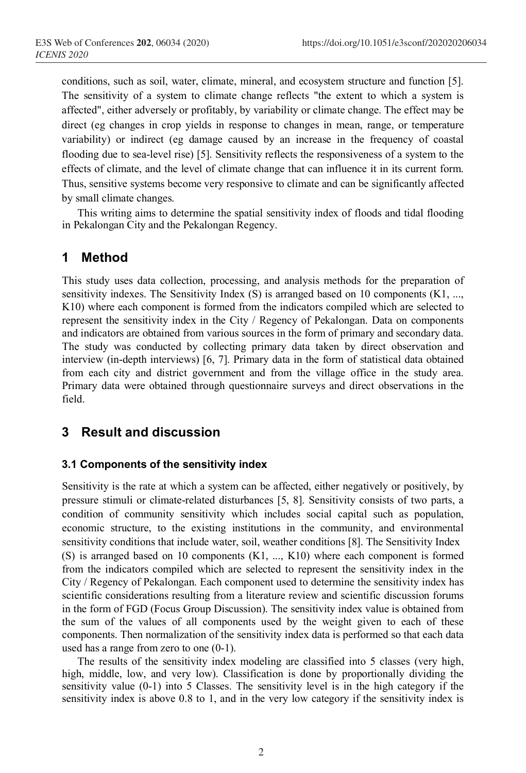conditions, such as soil, water, climate, mineral, and ecosystem structure and function [5]. The sensitivity of a system to climate change reflects "the extent to which a system is affected", either adversely or profitably, by variability or climate change. The effect may be direct (eg changes in crop yields in response to changes in mean, range, or temperature variability) or indirect (eg damage caused by an increase in the frequency of coastal flooding due to sea-level rise) [5]. Sensitivity reflects the responsiveness of a system to the effects of climate, and the level of climate change that can influence it in its current form. Thus, sensitive systems become very responsive to climate and can be significantly affected by small climate changes.

This writing aims to determine the spatial sensitivity index of floods and tidal flooding in Pekalongan City and the Pekalongan Regency.

## **1 Method**

This study uses data collection, processing, and analysis methods for the preparation of sensitivity indexes. The Sensitivity Index (S) is arranged based on 10 components (K1, ..., K10) where each component is formed from the indicators compiled which are selected to represent the sensitivity index in the City / Regency of Pekalongan. Data on components and indicators are obtained from various sources in the form of primary and secondary data. The study was conducted by collecting primary data taken by direct observation and interview (in-depth interviews) [6, 7]. Primary data in the form of statistical data obtained from each city and district government and from the village office in the study area. Primary data were obtained through questionnaire surveys and direct observations in the field.

### **3 Result and discussion**

#### **3.1 Components of the sensitivity index**

Sensitivity is the rate at which a system can be affected, either negatively or positively, by pressure stimuli or climate-related disturbances [5, 8]. Sensitivity consists of two parts, a condition of community sensitivity which includes social capital such as population, economic structure, to the existing institutions in the community, and environmental sensitivity conditions that include water, soil, weather conditions [8]. The Sensitivity Index (S) is arranged based on 10 components (K1, ..., K10) where each component is formed from the indicators compiled which are selected to represent the sensitivity index in the City / Regency of Pekalongan. Each component used to determine the sensitivity index has scientific considerations resulting from a literature review and scientific discussion forums in the form of FGD (Focus Group Discussion). The sensitivity index value is obtained from the sum of the values of all components used by the weight given to each of these components. Then normalization of the sensitivity index data is performed so that each data used has a range from zero to one (0-1).

The results of the sensitivity index modeling are classified into 5 classes (very high, high, middle, low, and very low). Classification is done by proportionally dividing the sensitivity value (0-1) into 5 Classes. The sensitivity level is in the high category if the sensitivity index is above 0.8 to 1, and in the very low category if the sensitivity index is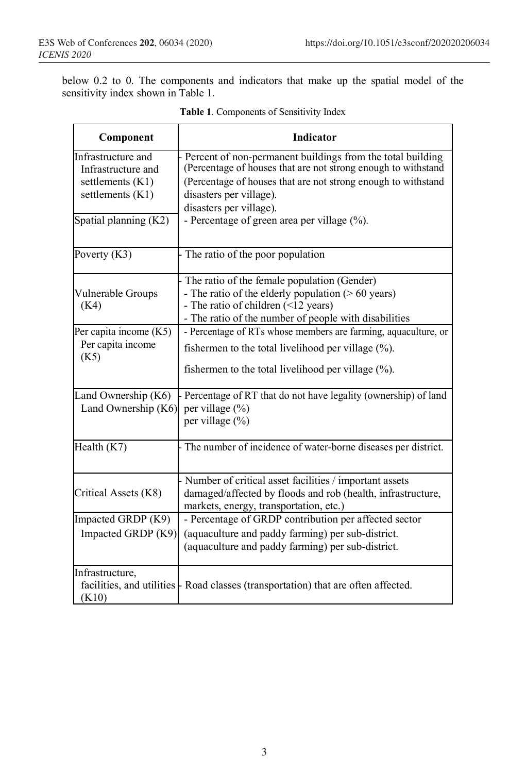below 0.2 to 0. The components and indicators that make up the spatial model of the sensitivity index shown in Table 1.

| Component                                                                                                 | Indicator                                                                                                                                                                                                                                                                                         |
|-----------------------------------------------------------------------------------------------------------|---------------------------------------------------------------------------------------------------------------------------------------------------------------------------------------------------------------------------------------------------------------------------------------------------|
| Infrastructure and<br>Infrastructure and<br>settlements (K1)<br>settlements (K1)<br>Spatial planning (K2) | Percent of non-permanent buildings from the total building<br>(Percentage of houses that are not strong enough to withstand<br>(Percentage of houses that are not strong enough to withstand<br>disasters per village).<br>disasters per village).<br>- Percentage of green area per village (%). |
| Poverty $(K3)$                                                                                            | The ratio of the poor population                                                                                                                                                                                                                                                                  |
| Vulnerable Groups<br>(K4)                                                                                 | The ratio of the female population (Gender)<br>- The ratio of the elderly population ( $> 60$ years)<br>- The ratio of children (<12 years)<br>- The ratio of the number of people with disabilities                                                                                              |
| Per capita income (K5)<br>Per capita income<br>(K5)                                                       | - Percentage of RTs whose members are farming, aquaculture, or<br>fishermen to the total livelihood per village $(\% )$ .<br>fishermen to the total livelihood per village $(\%)$ .                                                                                                               |
| Land Ownership (K6)<br>Land Ownership (K6)                                                                | Percentage of RT that do not have legality (ownership) of land<br>per village (%)<br>per village (%)                                                                                                                                                                                              |
| Health (K7)                                                                                               | The number of incidence of water-borne diseases per district.                                                                                                                                                                                                                                     |
| Critical Assets (K8)                                                                                      | Number of critical asset facilities / important assets<br>damaged/affected by floods and rob (health, infrastructure,<br>markets, energy, transportation, etc.)                                                                                                                                   |
| Impacted GRDP (K9)<br>Impacted GRDP (K9)                                                                  | - Percentage of GRDP contribution per affected sector<br>(aquaculture and paddy farming) per sub-district.<br>(aquaculture and paddy farming) per sub-district.                                                                                                                                   |
| Infrastructure,<br>(K10)                                                                                  | facilities, and utilities   Road classes (transportation) that are often affected.                                                                                                                                                                                                                |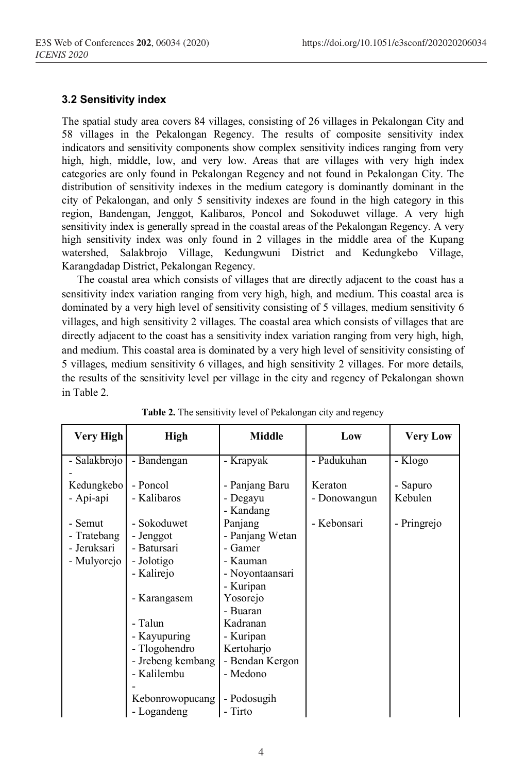### **3.2 Sensitivity index**

The spatial study area covers 84 villages, consisting of 26 villages in Pekalongan City and 58 villages in the Pekalongan Regency. The results of composite sensitivity index indicators and sensitivity components show complex sensitivity indices ranging from very high, high, middle, low, and very low. Areas that are villages with very high index categories are only found in Pekalongan Regency and not found in Pekalongan City. The distribution of sensitivity indexes in the medium category is dominantly dominant in the city of Pekalongan, and only 5 sensitivity indexes are found in the high category in this region, Bandengan, Jenggot, Kalibaros, Poncol and Sokoduwet village. A very high sensitivity index is generally spread in the coastal areas of the Pekalongan Regency. A very high sensitivity index was only found in 2 villages in the middle area of the Kupang watershed, Salakbrojo Village, Kedungwuni District and Kedungkebo Village, Karangdadap District, Pekalongan Regency.

The coastal area which consists of villages that are directly adjacent to the coast has a sensitivity index variation ranging from very high, high, and medium. This coastal area is dominated by a very high level of sensitivity consisting of 5 villages, medium sensitivity 6 villages, and high sensitivity 2 villages. The coastal area which consists of villages that are directly adjacent to the coast has a sensitivity index variation ranging from very high, high, and medium. This coastal area is dominated by a very high level of sensitivity consisting of 5 villages, medium sensitivity 6 villages, and high sensitivity 2 villages. For more details, the results of the sensitivity level per village in the city and regency of Pekalongan shown in Table 2.

| Very High    | High              | <b>Middle</b>         | Low          | <b>Very Low</b> |
|--------------|-------------------|-----------------------|--------------|-----------------|
| - Salakbrojo | - Bandengan       | - Krapyak             | - Padukuhan  | - Klogo         |
| Kedungkebo   | - Poncol          | - Panjang Baru        | Keraton      | - Sapuro        |
| - Api-api    | - Kalibaros       | - Degayu<br>- Kandang | - Donowangun | Kebulen         |
| - Semut      | - Sokoduwet       | Panjang               | - Kebonsari  | - Pringrejo     |
| - Tratebang  | - Jenggot         | - Panjang Wetan       |              |                 |
| - Jeruksari  | - Batursari       | - Gamer               |              |                 |
| - Mulyorejo  | - Jolotigo        | - Kauman              |              |                 |
|              | - Kalirejo        | - Noyontaansari       |              |                 |
|              |                   | - Kuripan             |              |                 |
|              | - Karangasem      | Yosorejo              |              |                 |
|              |                   | - Buaran              |              |                 |
|              | - Talun           | Kadranan              |              |                 |
|              | - Kayupuring      | - Kuripan             |              |                 |
|              | - Tlogohendro     | Kertoharjo            |              |                 |
|              | - Jrebeng kembang | - Bendan Kergon       |              |                 |
|              | - Kalilembu       | - Medono              |              |                 |
|              |                   |                       |              |                 |
|              | Kebonrowopucang   | - Podosugih           |              |                 |
|              | - Logandeng       | - Tirto               |              |                 |

|  |  |  | Table 2. The sensitivity level of Pekalongan city and regency |  |
|--|--|--|---------------------------------------------------------------|--|
|  |  |  |                                                               |  |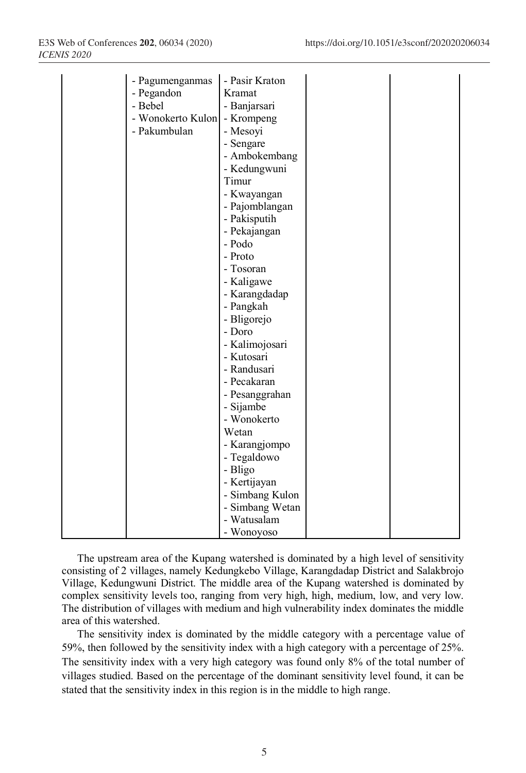|  | - Pagumenganmas<br>- Pegandon<br>- Bebel<br>- Wonokerto Kulon<br>- Pakumbulan | - Pasir Kraton<br>Kramat<br>- Banjarsari<br>- Krompeng<br>- Mesoyi<br>- Sengare<br>- Ambokembang<br>- Kedungwuni<br>Timur<br>- Kwayangan |  |
|--|-------------------------------------------------------------------------------|------------------------------------------------------------------------------------------------------------------------------------------|--|
|  |                                                                               | - Pakisputih<br>- Pekajangan                                                                                                             |  |
|  |                                                                               | - Podo                                                                                                                                   |  |
|  |                                                                               | - Proto                                                                                                                                  |  |
|  |                                                                               | - Tosoran                                                                                                                                |  |
|  |                                                                               | - Kaligawe                                                                                                                               |  |
|  |                                                                               | - Karangdadap                                                                                                                            |  |
|  |                                                                               | - Pangkah                                                                                                                                |  |
|  |                                                                               | - Bligorejo                                                                                                                              |  |
|  |                                                                               | - Doro                                                                                                                                   |  |
|  |                                                                               | - Kalimojosari                                                                                                                           |  |
|  |                                                                               | - Kutosari                                                                                                                               |  |
|  |                                                                               | - Randusari                                                                                                                              |  |
|  |                                                                               | - Pecakaran                                                                                                                              |  |
|  |                                                                               | - Pesanggrahan                                                                                                                           |  |
|  |                                                                               | - Sijambe                                                                                                                                |  |
|  |                                                                               | - Wonokerto                                                                                                                              |  |
|  |                                                                               | Wetan                                                                                                                                    |  |
|  |                                                                               | - Karangjompo                                                                                                                            |  |
|  |                                                                               | - Tegaldowo                                                                                                                              |  |
|  |                                                                               | - Bligo                                                                                                                                  |  |
|  |                                                                               | - Kertijayan                                                                                                                             |  |
|  |                                                                               | - Simbang Kulon                                                                                                                          |  |
|  |                                                                               | - Simbang Wetan                                                                                                                          |  |
|  |                                                                               | - Watusalam                                                                                                                              |  |
|  |                                                                               | - Wonoyoso                                                                                                                               |  |

The upstream area of the Kupang watershed is dominated by a high level of sensitivity consisting of 2 villages, namely Kedungkebo Village, Karangdadap District and Salakbrojo Village, Kedungwuni District. The middle area of the Kupang watershed is dominated by complex sensitivity levels too, ranging from very high, high, medium, low, and very low. The distribution of villages with medium and high vulnerability index dominates the middle area of this watershed.

The sensitivity index is dominated by the middle category with a percentage value of 59%, then followed by the sensitivity index with a high category with a percentage of 25%. The sensitivity index with a very high category was found only 8% of the total number of villages studied. Based on the percentage of the dominant sensitivity level found, it can be stated that the sensitivity index in this region is in the middle to high range.